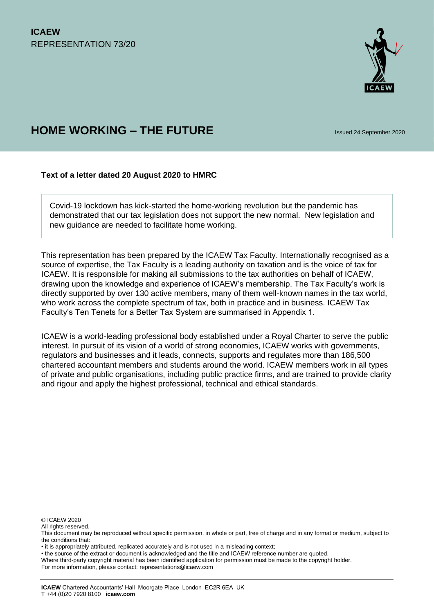

# **HOME WORKING – THE FUTURE** ISSUED 24 September 2020

## **Text of a letter dated 20 August 2020 to HMRC**

Covid-19 lockdown has kick-started the home-working revolution but the pandemic has demonstrated that our tax legislation does not support the new normal. New legislation and new guidance are needed to facilitate home working.

This representation has been prepared by the ICAEW Tax Faculty. Internationally recognised as a source of expertise, the Tax Faculty is a leading authority on taxation and is the voice of tax for ICAEW. It is responsible for making all submissions to the tax authorities on behalf of ICAEW, drawing upon the knowledge and experience of ICAEW's membership. The Tax Faculty's work is directly supported by over 130 active members, many of them well-known names in the tax world, who work across the complete spectrum of tax, both in practice and in business. ICAEW Tax Faculty's Ten Tenets for a Better Tax System are summarised in Appendix 1.

ICAEW is a world-leading professional body established under a Royal Charter to serve the public interest. In pursuit of its vision of a world of strong economies, ICAEW works with governments, regulators and businesses and it leads, connects, supports and regulates more than 186,500 chartered accountant members and students around the world. ICAEW members work in all types of private and public organisations, including public practice firms, and are trained to provide clarity and rigour and apply the highest professional, technical and ethical standards.

© ICAEW 2020

All rights reserved.

• the source of the extract or document is acknowledged and the title and ICAEW reference number are quoted.

For more information, please contact: representations@icaew.com

This document may be reproduced without specific permission, in whole or part, free of charge and in any format or medium, subject to the conditions that:

<sup>•</sup> it is appropriately attributed, replicated accurately and is not used in a misleading context;

Where third-party copyright material has been identified application for permission must be made to the copyright holder.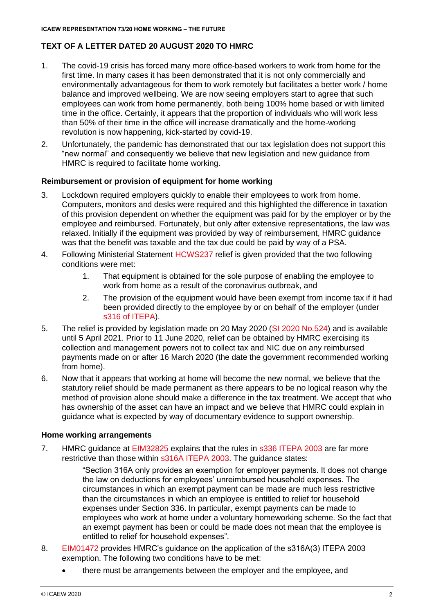## **TEXT OF A LETTER DATED 20 AUGUST 2020 TO HMRC**

- 1. The covid-19 crisis has forced many more office-based workers to work from home for the first time. In many cases it has been demonstrated that it is not only commercially and environmentally advantageous for them to work remotely but facilitates a better work / home balance and improved wellbeing. We are now seeing employers start to agree that such employees can work from home permanently, both being 100% home based or with limited time in the office. Certainly, it appears that the proportion of individuals who will work less than 50% of their time in the office will increase dramatically and the home-working revolution is now happening, kick-started by covid-19.
- 2. Unfortunately, the pandemic has demonstrated that our tax legislation does not support this "new normal" and consequently we believe that new legislation and new guidance from HMRC is required to facilitate home working.

## **Reimbursement or provision of equipment for home working**

- 3. Lockdown required employers quickly to enable their employees to work from home. Computers, monitors and desks were required and this highlighted the difference in taxation of this provision dependent on whether the equipment was paid for by the employer or by the employee and reimbursed. Fortunately, but only after extensive representations, the law was relaxed. Initially if the equipment was provided by way of reimbursement, HMRC guidance was that the benefit was taxable and the tax due could be paid by way of a PSA.
- 4. Following Ministerial Statement [HCWS237](https://questions-statements.parliament.uk/written-statements/detail/2020-05-13/HCWS237) relief is given provided that the two following conditions were met:
	- 1. That equipment is obtained for the sole purpose of enabling the employee to work from home as a result of the coronavirus outbreak, and
	- 2. The provision of the equipment would have been exempt from income tax if it had been provided directly to the employee by or on behalf of the employer (under [s316 of ITEPA\)](https://www.legislation.gov.uk/ukpga/2003/1/section/316).
- 5. The relief is provided by legislation made on 20 May 2020 [\(SI 2020 No.524\)](https://www.legislation.gov.uk/uksi/2020/524/contents/made) and is available until 5 April 2021. Prior to 11 June 2020, relief can be obtained by HMRC exercising its collection and management powers not to collect tax and NIC due on any reimbursed payments made on or after 16 March 2020 (the date the government recommended working from home).
- 6. Now that it appears that working at home will become the new normal, we believe that the statutory relief should be made permanent as there appears to be no logical reason why the method of provision alone should make a difference in the tax treatment. We accept that who has ownership of the asset can have an impact and we believe that HMRC could explain in guidance what is expected by way of documentary evidence to support ownership.

#### **Home working arrangements**

7. HMRC guidance at [EIM32825](https://www.gov.uk/hmrc-internal-manuals/employment-income-manual/eim32825) explains that the rules in [s336 ITEPA 2003](https://www.legislation.gov.uk/ukpga/2003/1/section/336) are far more restrictive than those within [s316A ITEPA 2003.](https://www.gov.uk/hmrc-internal-manuals/employment-income-manual/eim32825) The guidance states:

> "Section 316A only provides an exemption for employer payments. It does not change the law on deductions for employees' unreimbursed household expenses. The circumstances in which an exempt payment can be made are much less restrictive than the circumstances in which an employee is entitled to relief for household expenses under Section 336. In particular, exempt payments can be made to employees who work at home under a voluntary homeworking scheme. So the fact that an exempt payment has been or could be made does not mean that the employee is entitled to relief for household expenses".

- 8. [EIM01472](https://www.gov.uk/hmrc-internal-manuals/employment-income-manual/eim01472) provides HMRC's guidance on the application of the s316A(3) ITEPA 2003 exemption. The following two conditions have to be met:
	- there must be arrangements between the employer and the employee, and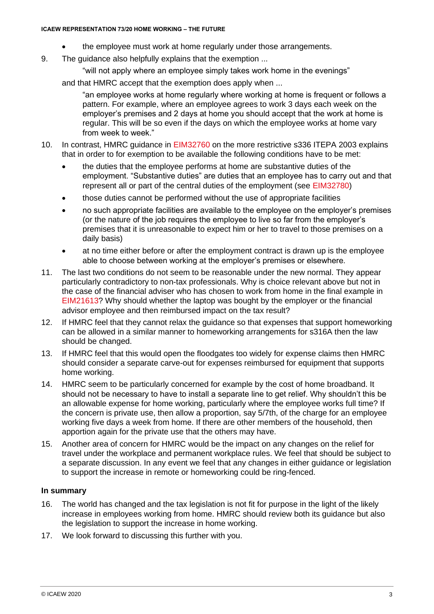- the employee must work at home regularly under those arrangements.
- 9. The guidance also helpfully explains that the exemption ...
	- "will not apply where an employee simply takes work home in the evenings"

and that HMRC accept that the exemption does apply when ...

"an employee works at home regularly where working at home is frequent or follows a pattern. For example, where an employee agrees to work 3 days each week on the employer's premises and 2 days at home you should accept that the work at home is regular. This will be so even if the days on which the employee works at home vary from week to week."

- 10. In contrast, HMRC guidance in [EIM32760](https://www.gov.uk/hmrc-internal-manuals/employment-income-manual/eim32760) on the more restrictive s336 ITEPA 2003 explains that in order to for exemption to be available the following conditions have to be met:
	- the duties that the employee performs at home are substantive duties of the employment. "Substantive duties" are duties that an employee has to carry out and that represent all or part of the central duties of the employment (see [EIM32780\)](https://www.gov.uk/hmrc-internal-manuals/employment-income-manual/eim32780)
	- those duties cannot be performed without the use of appropriate facilities
	- no such appropriate facilities are available to the employee on the employer's premises (or the nature of the job requires the employee to live so far from the employer's premises that it is unreasonable to expect him or her to travel to those premises on a daily basis)
	- at no time either before or after the employment contract is drawn up is the employee able to choose between working at the employer's premises or elsewhere.
- 11. The last two conditions do not seem to be reasonable under the new normal. They appear particularly contradictory to non-tax professionals. Why is choice relevant above but not in the case of the financial adviser who has chosen to work from home in the final example in [EIM21613?](https://www.gov.uk/hmrc-internal-manuals/employment-income-manual/eim21613) Why should whether the laptop was bought by the employer or the financial advisor employee and then reimbursed impact on the tax result?
- 12. If HMRC feel that they cannot relax the guidance so that expenses that support homeworking can be allowed in a similar manner to homeworking arrangements for s316A then the law should be changed.
- 13. If HMRC feel that this would open the floodgates too widely for expense claims then HMRC should consider a separate carve-out for expenses reimbursed for equipment that supports home working.
- 14. HMRC seem to be particularly concerned for example by the cost of home broadband. It should not be necessary to have to install a separate line to get relief. Why shouldn't this be an allowable expense for home working, particularly where the employee works full time? If the concern is private use, then allow a proportion, say 5/7th, of the charge for an employee working five days a week from home. If there are other members of the household, then apportion again for the private use that the others may have.
- 15. Another area of concern for HMRC would be the impact on any changes on the relief for travel under the workplace and permanent workplace rules. We feel that should be subject to a separate discussion. In any event we feel that any changes in either guidance or legislation to support the increase in remote or homeworking could be ring-fenced.

#### **In summary**

- 16. The world has changed and the tax legislation is not fit for purpose in the light of the likely increase in employees working from home. HMRC should review both its guidance but also the legislation to support the increase in home working.
- 17. We look forward to discussing this further with you.